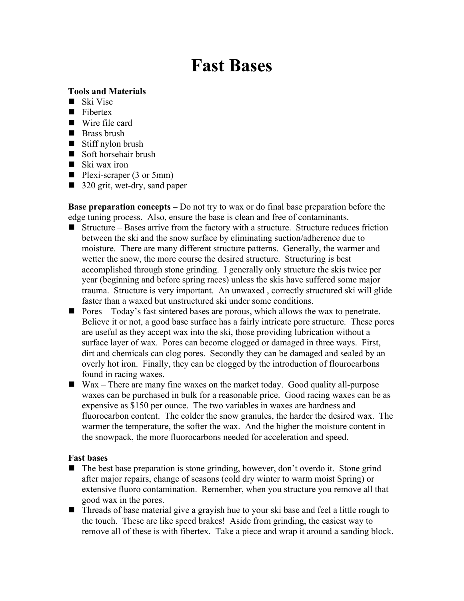# Fast Bases

### Tools and Materials

- Ski Vise
- Fibertex
- Wire file card
- Brass brush
- Stiff nylon brush
- Soft horsehair brush
- $\blacksquare$  Ski wax iron
- $\blacksquare$  Plexi-scraper (3 or 5mm)
- 320 grit, wet-dry, sand paper

Base preparation concepts – Do not try to wax or do final base preparation before the edge tuning process. Also, ensure the base is clean and free of contaminants.

- $\blacksquare$  Structure Bases arrive from the factory with a structure. Structure reduces friction between the ski and the snow surface by eliminating suction/adherence due to moisture. There are many different structure patterns. Generally, the warmer and wetter the snow, the more course the desired structure. Structuring is best accomplished through stone grinding. I generally only structure the skis twice per year (beginning and before spring races) unless the skis have suffered some major trauma. Structure is very important. An unwaxed , correctly structured ski will glide faster than a waxed but unstructured ski under some conditions.
- **Pores** Today's fast sintered bases are porous, which allows the wax to penetrate. Believe it or not, a good base surface has a fairly intricate pore structure. These pores are useful as they accept wax into the ski, those providing lubrication without a surface layer of wax. Pores can become clogged or damaged in three ways. First, dirt and chemicals can clog pores. Secondly they can be damaged and sealed by an overly hot iron. Finally, they can be clogged by the introduction of flourocarbons found in racing waxes.
- Wax There are many fine waxes on the market today. Good quality all-purpose waxes can be purchased in bulk for a reasonable price. Good racing waxes can be as expensive as \$150 per ounce. The two variables in waxes are hardness and fluorocarbon content. The colder the snow granules, the harder the desired wax. The warmer the temperature, the softer the wax. And the higher the moisture content in the snowpack, the more fluorocarbons needed for acceleration and speed.

#### Fast bases

- The best base preparation is stone grinding, however, don't overdo it. Stone grind after major repairs, change of seasons (cold dry winter to warm moist Spring) or extensive fluoro contamination. Remember, when you structure you remove all that good wax in the pores.
- Threads of base material give a grayish hue to your ski base and feel a little rough to the touch. These are like speed brakes! Aside from grinding, the easiest way to remove all of these is with fibertex. Take a piece and wrap it around a sanding block.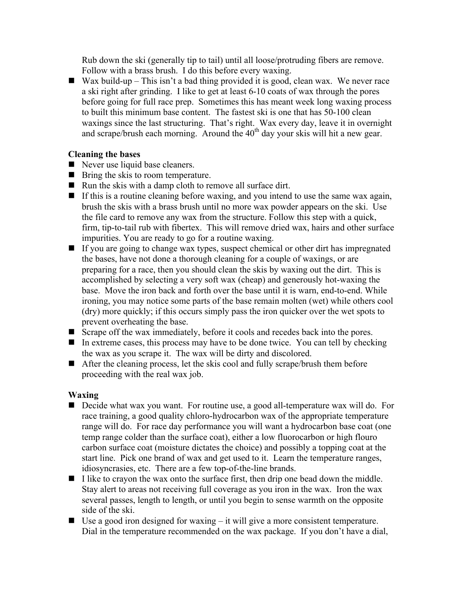Rub down the ski (generally tip to tail) until all loose/protruding fibers are remove. Follow with a brass brush. I do this before every waxing.

Wax build-up – This isn't a bad thing provided it is good, clean wax. We never race a ski right after grinding. I like to get at least 6-10 coats of wax through the pores before going for full race prep. Sometimes this has meant week long waxing process to built this minimum base content. The fastest ski is one that has 50-100 clean waxings since the last structuring. That's right. Wax every day, leave it in overnight and scrape/brush each morning. Around the  $40<sup>th</sup>$  day your skis will hit a new gear.

#### Cleaning the bases

- Never use liquid base cleaners.
- **Bring the skis to room temperature.**
- $\blacksquare$  Run the skis with a damp cloth to remove all surface dirt.
- If this is a routine cleaning before waxing, and you intend to use the same wax again, brush the skis with a brass brush until no more wax powder appears on the ski. Use the file card to remove any wax from the structure. Follow this step with a quick, firm, tip-to-tail rub with fibertex. This will remove dried wax, hairs and other surface impurities. You are ready to go for a routine waxing.
- $\blacksquare$  If you are going to change wax types, suspect chemical or other dirt has impregnated the bases, have not done a thorough cleaning for a couple of waxings, or are preparing for a race, then you should clean the skis by waxing out the dirt. This is accomplished by selecting a very soft wax (cheap) and generously hot-waxing the base. Move the iron back and forth over the base until it is warn, end-to-end. While ironing, you may notice some parts of the base remain molten (wet) while others cool (dry) more quickly; if this occurs simply pass the iron quicker over the wet spots to prevent overheating the base.
- Scrape off the wax immediately, before it cools and recedes back into the pores.
- In extreme cases, this process may have to be done twice. You can tell by checking the wax as you scrape it. The wax will be dirty and discolored.
- After the cleaning process, let the skis cool and fully scrape/brush them before proceeding with the real wax job.

## Waxing

- Decide what wax you want. For routine use, a good all-temperature wax will do. For race training, a good quality chloro-hydrocarbon wax of the appropriate temperature range will do. For race day performance you will want a hydrocarbon base coat (one temp range colder than the surface coat), either a low fluorocarbon or high flouro carbon surface coat (moisture dictates the choice) and possibly a topping coat at the start line. Pick one brand of wax and get used to it. Learn the temperature ranges, idiosyncrasies, etc. There are a few top-of-the-line brands.
- $\blacksquare$  I like to crayon the wax onto the surface first, then drip one bead down the middle. Stay alert to areas not receiving full coverage as you iron in the wax. Iron the wax several passes, length to length, or until you begin to sense warmth on the opposite side of the ski.
- $\Box$  Use a good iron designed for waxing it will give a more consistent temperature. Dial in the temperature recommended on the wax package. If you don't have a dial,